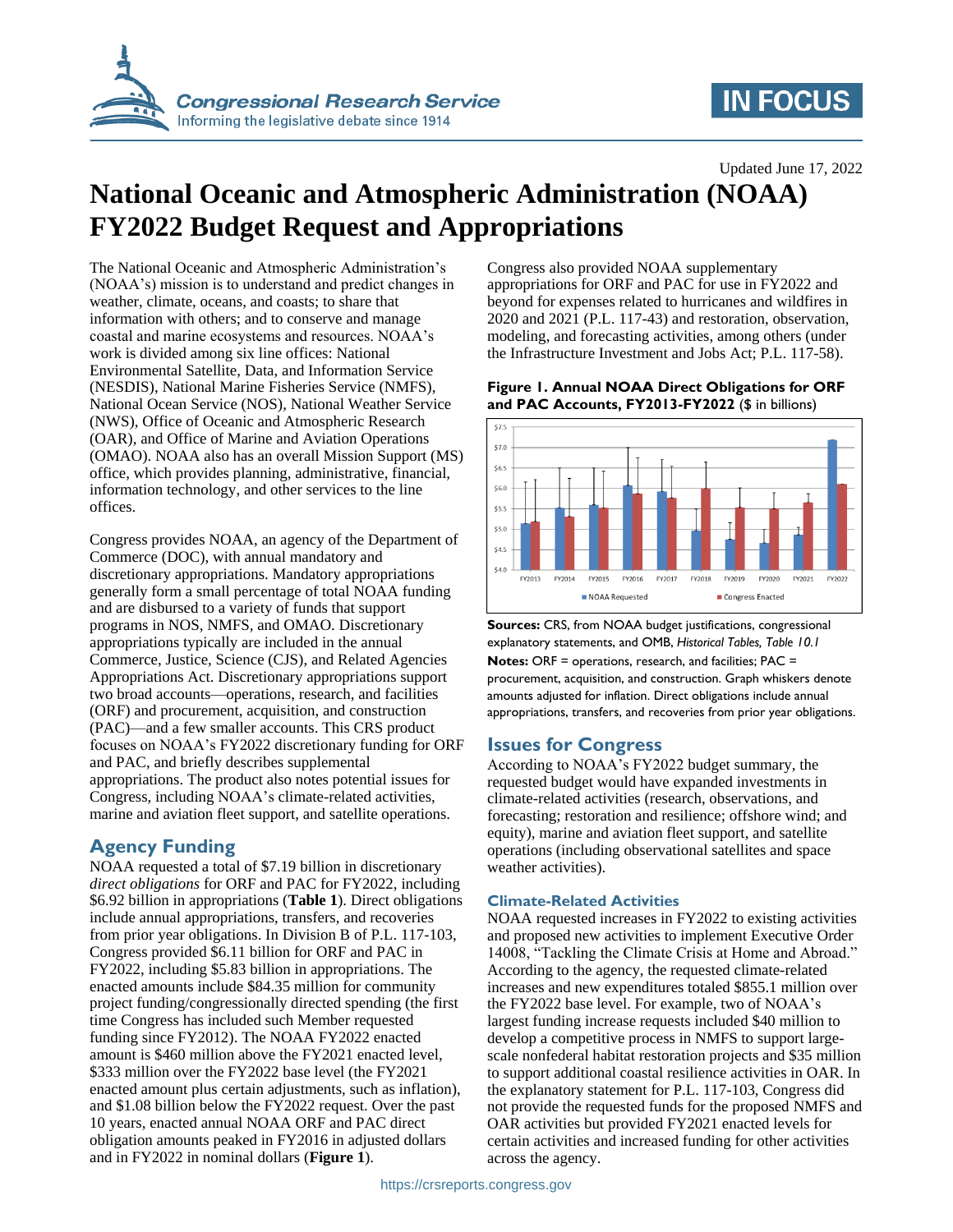

# **IN FOCUS**

Updated June 17, 2022

# **National Oceanic and Atmospheric Administration (NOAA) FY2022 Budget Request and Appropriations**

The National Oceanic and Atmospheric Administration's (NOAA's) mission is to understand and predict changes in weather, climate, oceans, and coasts; to share that information with others; and to conserve and manage coastal and marine ecosystems and resources. NOAA's work is divided among six line offices: National Environmental Satellite, Data, and Information Service (NESDIS), National Marine Fisheries Service (NMFS), National Ocean Service (NOS), National Weather Service (NWS), Office of Oceanic and Atmospheric Research (OAR), and Office of Marine and Aviation Operations (OMAO). NOAA also has an overall Mission Support (MS) office, which provides planning, administrative, financial, information technology, and other services to the line offices.

Congress provides NOAA, an agency of the Department of Commerce (DOC), with annual mandatory and discretionary appropriations. Mandatory appropriations generally form a small percentage of total NOAA funding and are disbursed to a variety of funds that support programs in NOS, NMFS, and OMAO. Discretionary appropriations typically are included in the annual Commerce, Justice, Science (CJS), and Related Agencies Appropriations Act. Discretionary appropriations support two broad accounts—operations, research, and facilities (ORF) and procurement, acquisition, and construction (PAC)—and a few smaller accounts. This CRS product focuses on NOAA's FY2022 discretionary funding for ORF and PAC, and briefly describes supplemental appropriations. The product also notes potential issues for Congress, including NOAA's climate-related activities, marine and aviation fleet support, and satellite operations.

### **Agency Funding**

NOAA requested a total of \$7.19 billion in discretionary *direct obligations* for ORF and PAC for FY2022, including \$6.92 billion in appropriations (**[Table 1](#page-1-0)**). Direct obligations include annual appropriations, transfers, and recoveries from prior year obligations. In Division B of P.L. 117-103, Congress provided \$6.11 billion for ORF and PAC in FY2022, including \$5.83 billion in appropriations. The enacted amounts include \$84.35 million for community project funding/congressionally directed spending (the first time Congress has included such Member requested funding since FY2012). The NOAA FY2022 enacted amount is \$460 million above the FY2021 enacted level, \$333 million over the FY2022 base level (the FY2021 enacted amount plus certain adjustments, such as inflation), and \$1.08 billion below the FY2022 request. Over the past 10 years, enacted annual NOAA ORF and PAC direct obligation amounts peaked in FY2016 in adjusted dollars and in FY2022 in nominal dollars (**[Figure 1](#page-0-0)**).

Congress also provided NOAA supplementary appropriations for ORF and PAC for use in FY2022 and beyond for expenses related to hurricanes and wildfires in 2020 and 2021 (P.L. 117-43) and restoration, observation, modeling, and forecasting activities, among others (under the Infrastructure Investment and Jobs Act; P.L. 117-58).

<span id="page-0-0"></span>



**Sources:** CRS, from NOAA budget justifications, congressional explanatory statements, and OMB, *Historical Tables, Table 10.1* **Notes:** ORF = operations, research, and facilities; PAC = procurement, acquisition, and construction. Graph whiskers denote amounts adjusted for inflation. Direct obligations include annual appropriations, transfers, and recoveries from prior year obligations.

### **Issues for Congress**

According to NOAA's FY2022 budget summary, the requested budget would have expanded investments in climate-related activities (research, observations, and forecasting; restoration and resilience; offshore wind; and equity), marine and aviation fleet support, and satellite operations (including observational satellites and space weather activities).

#### **Climate-Related Activities**

NOAA requested increases in FY2022 to existing activities and proposed new activities to implement Executive Order 14008, "Tackling the Climate Crisis at Home and Abroad." According to the agency, the requested climate-related increases and new expenditures totaled \$855.1 million over the FY2022 base level. For example, two of NOAA's largest funding increase requests included \$40 million to develop a competitive process in NMFS to support largescale nonfederal habitat restoration projects and \$35 million to support additional coastal resilience activities in OAR. In the explanatory statement for P.L. 117-103, Congress did not provide the requested funds for the proposed NMFS and OAR activities but provided FY2021 enacted levels for certain activities and increased funding for other activities across the agency.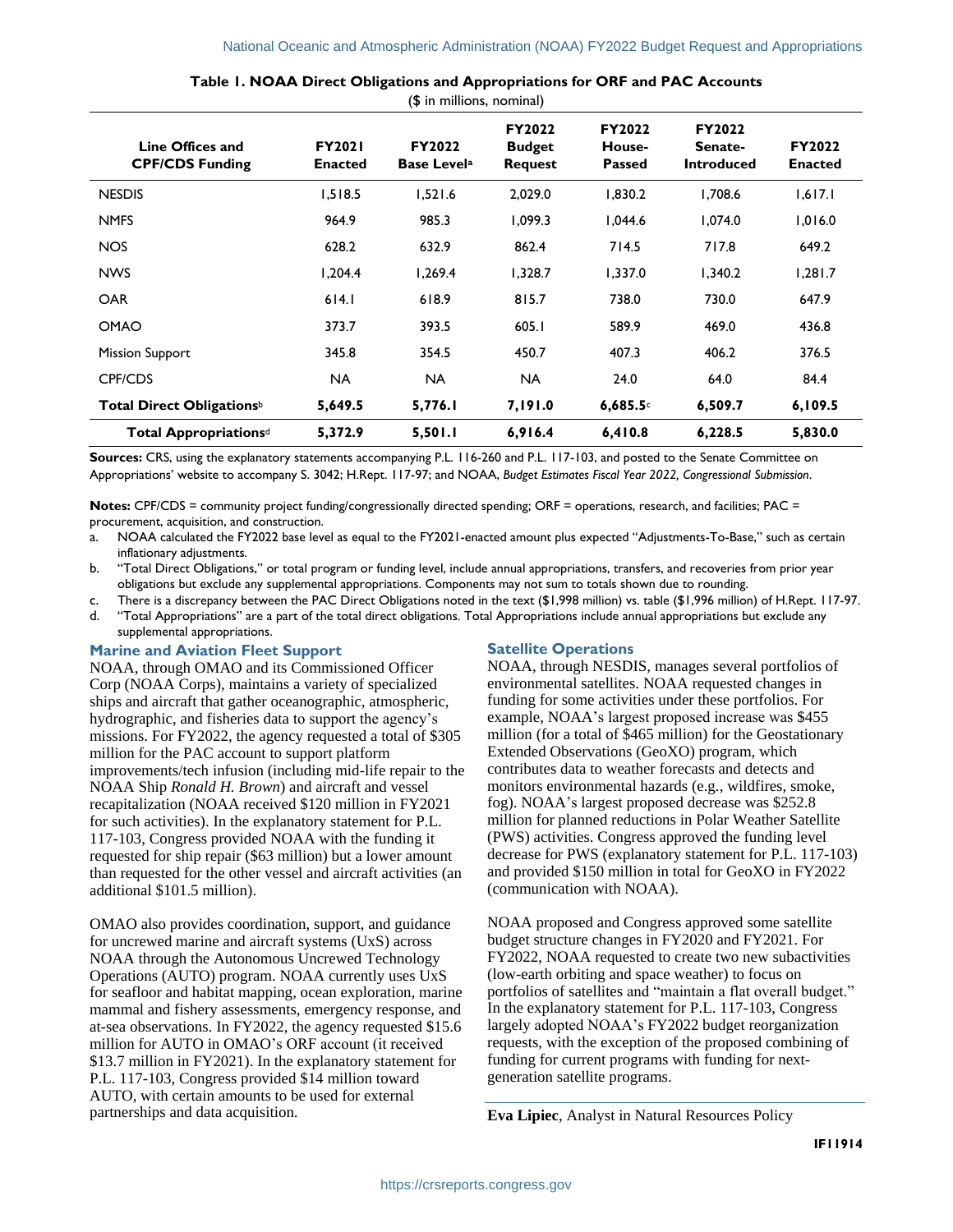<span id="page-1-0"></span>

| Line Offices and<br><b>CPF/CDS Funding</b> | <b>FY2021</b><br><b>Enacted</b> | FY2022<br><b>Base Levela</b> | FY2022<br><b>Budget</b><br><b>Request</b> | FY2022<br>House-<br><b>Passed</b> | FY2022<br>Senate-<br><b>Introduced</b> | FY2022<br><b>Enacted</b> |
|--------------------------------------------|---------------------------------|------------------------------|-------------------------------------------|-----------------------------------|----------------------------------------|--------------------------|
| <b>NESDIS</b>                              | 1,518.5                         | 1,521.6                      | 2,029.0                                   | 1,830.2                           | 1,708.6                                | 1,617.1                  |
| <b>NMFS</b>                                | 964.9                           | 985.3                        | 1,099.3                                   | 1,044.6                           | 1,074.0                                | 1,016.0                  |
| <b>NOS</b>                                 | 628.2                           | 632.9                        | 862.4                                     | 714.5                             | 717.8                                  | 649.2                    |
| <b>NWS</b>                                 | 1.204.4                         | 1.269.4                      | 1,328.7                                   | 1,337.0                           | 1.340.2                                | 1,281.7                  |
| <b>OAR</b>                                 | 614.1                           | 618.9                        | 815.7                                     | 738.0                             | 730.0                                  | 647.9                    |
| <b>OMAO</b>                                | 373.7                           | 393.5                        | 605.1                                     | 589.9                             | 469.0                                  | 436.8                    |
| <b>Mission Support</b>                     | 345.8                           | 354.5                        | 450.7                                     | 407.3                             | 406.2                                  | 376.5                    |
| CPF/CDS                                    | <b>NA</b>                       | <b>NA</b>                    | <b>NA</b>                                 | 24.0                              | 64.0                                   | 84.4                     |
| Total Direct Obligations <sup>b</sup>      | 5,649.5                         | 5,776.I                      | 7,191.0                                   | 6,685.5                           | 6,509.7                                | 6,109.5                  |
| Total Appropriations <sup>d</sup>          | 5,372.9                         | 5,501.1                      | 6,916.4                                   | 6,410.8                           | 6,228.5                                | 5,830.0                  |

**Table 1. NOAA Direct Obligations and Appropriations for ORF and PAC Accounts**

(\$ in millions, nominal)

**Sources:** CRS, using the explanatory statements accompanying P.L. 116-260 and P.L. 117-103, and posted to the Senate Committee on Appropriations' website to accompany S. 3042; H.Rept. 117-97; and NOAA, *Budget Estimates Fiscal Year 2022, Congressional Submission*.

**Notes:** CPF/CDS = community project funding/congressionally directed spending; ORF = operations, research, and facilities; PAC = procurement, acquisition, and construction.

- <span id="page-1-1"></span>a. NOAA calculated the FY2022 base level as equal to the FY2021-enacted amount plus expected "Adjustments-To-Base," such as certain inflationary adjustments.
- <span id="page-1-2"></span>b. "Total Direct Obligations," or total program or funding level, include annual appropriations, transfers, and recoveries from prior year obligations but exclude any supplemental appropriations. Components may not sum to totals shown due to rounding.
- <span id="page-1-3"></span>c. There is a discrepancy between the PAC Direct Obligations noted in the text (\$1,998 million) vs. table (\$1,996 million) of H.Rept. 117-97.
- <span id="page-1-4"></span>d. "Total Appropriations" are a part of the total direct obligations. Total Appropriations include annual appropriations but exclude any supplemental appropriations.

#### **Marine and Aviation Fleet Support**

NOAA, through OMAO and its Commissioned Officer Corp (NOAA Corps), maintains a variety of specialized ships and aircraft that gather oceanographic, atmospheric, hydrographic, and fisheries data to support the agency's missions. For FY2022, the agency requested a total of \$305 million for the PAC account to support platform improvements/tech infusion (including mid-life repair to the NOAA Ship *Ronald H. Brown*) and aircraft and vessel recapitalization (NOAA received \$120 million in FY2021 for such activities). In the explanatory statement for P.L. 117-103, Congress provided NOAA with the funding it requested for ship repair (\$63 million) but a lower amount than requested for the other vessel and aircraft activities (an additional \$101.5 million).

OMAO also provides coordination, support, and guidance for uncrewed marine and aircraft systems (UxS) across NOAA through the Autonomous Uncrewed Technology Operations (AUTO) program. NOAA currently uses UxS for seafloor and habitat mapping, ocean exploration, marine mammal and fishery assessments, emergency response, and at-sea observations. In FY2022, the agency requested \$15.6 million for AUTO in OMAO's ORF account (it received \$13.7 million in FY2021). In the explanatory statement for P.L. 117-103, Congress provided \$14 million toward AUTO, with certain amounts to be used for external partnerships and data acquisition.

#### **Satellite Operations**

NOAA, through NESDIS, manages several portfolios of environmental satellites. NOAA requested changes in funding for some activities under these portfolios. For example, NOAA's largest proposed increase was \$455 million (for a total of \$465 million) for the Geostationary Extended Observations (GeoXO) program, which contributes data to weather forecasts and detects and monitors environmental hazards (e.g., wildfires, smoke, fog). NOAA's largest proposed decrease was \$252.8 million for planned reductions in Polar Weather Satellite (PWS) activities. Congress approved the funding level decrease for PWS (explanatory statement for P.L. 117-103) and provided \$150 million in total for GeoXO in FY2022 (communication with NOAA).

NOAA proposed and Congress approved some satellite budget structure changes in FY2020 and FY2021. For FY2022, NOAA requested to create two new subactivities (low-earth orbiting and space weather) to focus on portfolios of satellites and "maintain a flat overall budget." In the explanatory statement for P.L. 117-103, Congress largely adopted NOAA's FY2022 budget reorganization requests, with the exception of the proposed combining of funding for current programs with funding for nextgeneration satellite programs.

**Eva Lipiec**, Analyst in Natural Resources Policy